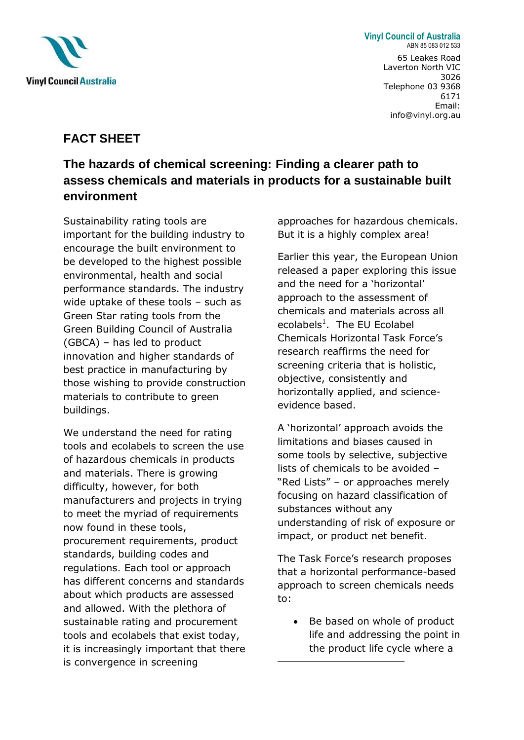

**Vinyl Council of Australia** ABN 85 083 012 533 65 Leakes Road Laverton North VIC 3026 Telephone 03 9368 6171 Email: info@vinyl.org.au

## **FACT SHEET**

## **The hazards of chemical screening: Finding a clearer path to assess chemicals and materials in products for a sustainable built environment**

Sustainability rating tools are important for the building industry to encourage the built environment to be developed to the highest possible environmental, health and social performance standards. The industry wide uptake of these tools - such as Green Star rating tools from the Green Building Council of Australia (GBCA) – has led to product innovation and higher standards of best practice in manufacturing by those wishing to provide construction materials to contribute to green buildings.

We understand the need for rating tools and ecolabels to screen the use of hazardous chemicals in products and materials. There is growing difficulty, however, for both manufacturers and projects in trying to meet the myriad of requirements now found in these tools, procurement requirements, product standards, building codes and regulations. Each tool or approach has different concerns and standards about which products are assessed and allowed. With the plethora of sustainable rating and procurement tools and ecolabels that exist today, it is increasingly important that there is convergence in screening

approaches for hazardous chemicals. But it is a highly complex area!

Earlier this year, the European Union released a paper exploring this issue and the need for a 'horizontal' approach to the assessment of chemicals and materials across all ecolabels<sup>1</sup>. The EU Ecolabel Chemicals Horizontal Task Force's research reaffirms the need for screening criteria that is holistic, objective, consistently and horizontally applied, and scienceevidence based.

A 'horizontal' approach avoids the limitations and biases caused in some tools by selective, subjective lists of chemicals to be avoided – "Red Lists" – or approaches merely focusing on hazard classification of substances without any understanding of risk of exposure or impact, or product net benefit.

The Task Force's research proposes that a horizontal performance-based approach to screen chemicals needs to:

• Be based on whole of product life and addressing the point in the product life cycle where a

**.**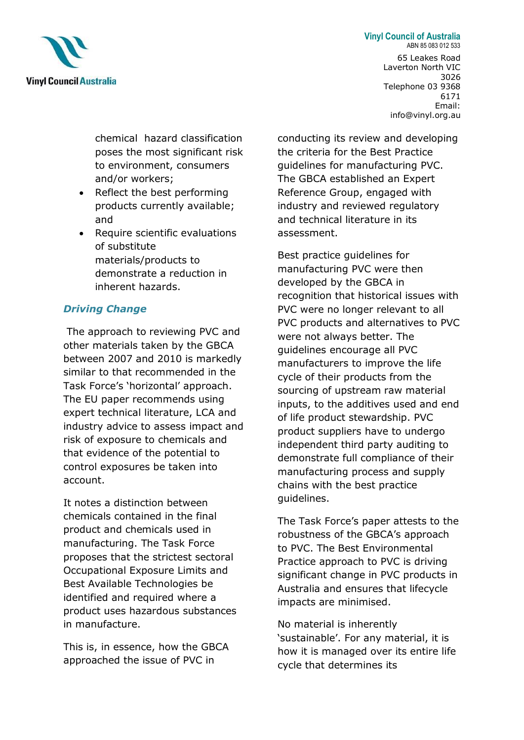

**Vinyl Council of Australia** ABN 85 083 012 533

> 65 Leakes Road Laverton North VIC 3026 Telephone 03 9368 6171 Email: info@vinyl.org.au

chemical hazard classification poses the most significant risk to environment, consumers and/or workers;

- Reflect the best performing products currently available; and
- Require scientific evaluations of substitute materials/products to demonstrate a reduction in inherent hazards.

## *Driving Change*

The approach to reviewing PVC and other materials taken by the GBCA between 2007 and 2010 is markedly similar to that recommended in the Task Force's 'horizontal' approach. The EU paper recommends using expert technical literature, LCA and industry advice to assess impact and risk of exposure to chemicals and that evidence of the potential to control exposures be taken into account.

It notes a distinction between chemicals contained in the final product and chemicals used in manufacturing. The Task Force proposes that the strictest sectoral Occupational Exposure Limits and Best Available Technologies be identified and required where a product uses hazardous substances in manufacture.

This is, in essence, how the GBCA approached the issue of PVC in

conducting its review and developing the criteria for the Best Practice guidelines for manufacturing PVC. The GBCA established an Expert Reference Group, engaged with industry and reviewed regulatory and technical literature in its assessment.

Best practice guidelines for manufacturing PVC were then developed by the GBCA in recognition that historical issues with PVC were no longer relevant to all PVC products and alternatives to PVC were not always better. The guidelines encourage all PVC manufacturers to improve the life cycle of their products from the sourcing of upstream raw material inputs, to the additives used and end of life product stewardship. PVC product suppliers have to undergo independent third party auditing to demonstrate full compliance of their manufacturing process and supply chains with the best practice guidelines.

The Task Force's paper attests to the robustness of the GBCA's approach to PVC. The Best Environmental Practice approach to PVC is driving significant change in PVC products in Australia and ensures that lifecycle impacts are minimised.

No material is inherently 'sustainable'. For any material, it is how it is managed over its entire life cycle that determines its